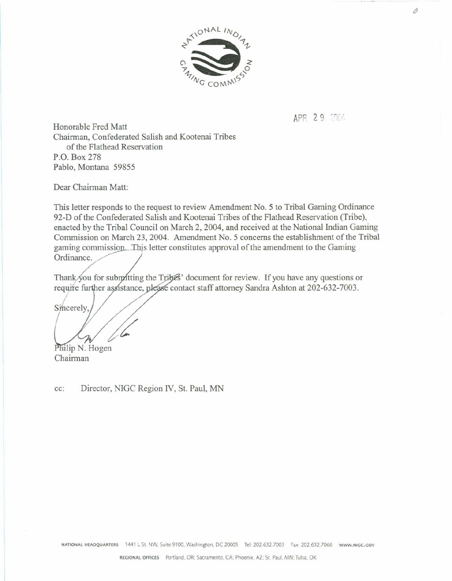

APR 29 2004

**Honorable Fred** Matt Chairman, **Confederated S dish and Kootenai Tribes of the FIathead Reservation P.O. Box 278 Pablo, Montana 59855** 

**Dear Chairman Matt:** 

**This letter responds to the request to review Amendment No. 5 to Tribal Gaming Ordinance 92-D of the Confederatsd Salish and** Root& **Triba of the Flathead Reservation (Tribe), enacted by the Tribal Council on March** 2,2004, **and received at** the **National** Tndian **Gaming Commission on March 23,2004. Amendment No. 5 concerns the establishment of the Tribal**  gaming commission. This letter constitutes approval of the amendment to the Gaming Ordinance.

Thank you for submitting the Tribes' document for review. If you have any questions or require further assistance, please contact staff attorney Sandra Ashton at 202-632-7003.

Sincerely

Philip N. Hogen

**Chairman** 

cc: **Director, WGC Region IV, St. Paul,** MN 0

**WATIONAL HEADQUARTERS 1441 L St. NW, Suite 9100, Washington, DC 20005 Tel: 202.632.7003 Fax: 202.632.7066 www.wigc.cov**